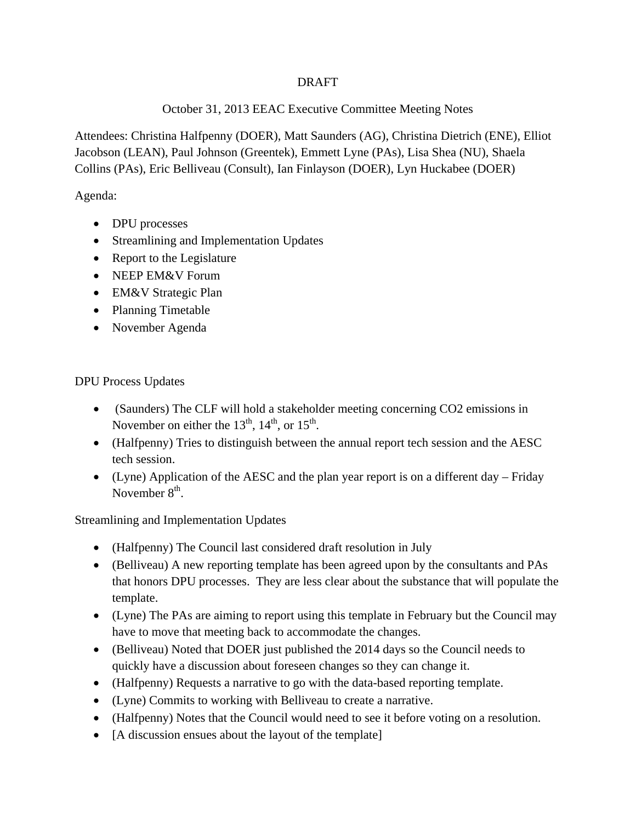### DRAFT

### October 31, 2013 EEAC Executive Committee Meeting Notes

Attendees: Christina Halfpenny (DOER), Matt Saunders (AG), Christina Dietrich (ENE), Elliot Jacobson (LEAN), Paul Johnson (Greentek), Emmett Lyne (PAs), Lisa Shea (NU), Shaela Collins (PAs), Eric Belliveau (Consult), Ian Finlayson (DOER), Lyn Huckabee (DOER)

Agenda:

- DPU processes
- Streamlining and Implementation Updates
- Report to the Legislature
- NEEP EM&V Forum
- EM&V Strategic Plan
- Planning Timetable
- November Agenda

DPU Process Updates

- (Saunders) The CLF will hold a stakeholder meeting concerning CO2 emissions in November on either the  $13<sup>th</sup>$ ,  $14<sup>th</sup>$ , or  $15<sup>th</sup>$ .
- (Halfpenny) Tries to distinguish between the annual report tech session and the AESC tech session.
- (Lyne) Application of the AESC and the plan year report is on a different day Friday November  $8<sup>th</sup>$ .

Streamlining and Implementation Updates

- (Halfpenny) The Council last considered draft resolution in July
- (Belliveau) A new reporting template has been agreed upon by the consultants and PAs that honors DPU processes. They are less clear about the substance that will populate the template.
- (Lyne) The PAs are aiming to report using this template in February but the Council may have to move that meeting back to accommodate the changes.
- (Belliveau) Noted that DOER just published the 2014 days so the Council needs to quickly have a discussion about foreseen changes so they can change it.
- (Halfpenny) Requests a narrative to go with the data-based reporting template.
- (Lyne) Commits to working with Belliveau to create a narrative.
- (Halfpenny) Notes that the Council would need to see it before voting on a resolution.
- [A discussion ensues about the layout of the template]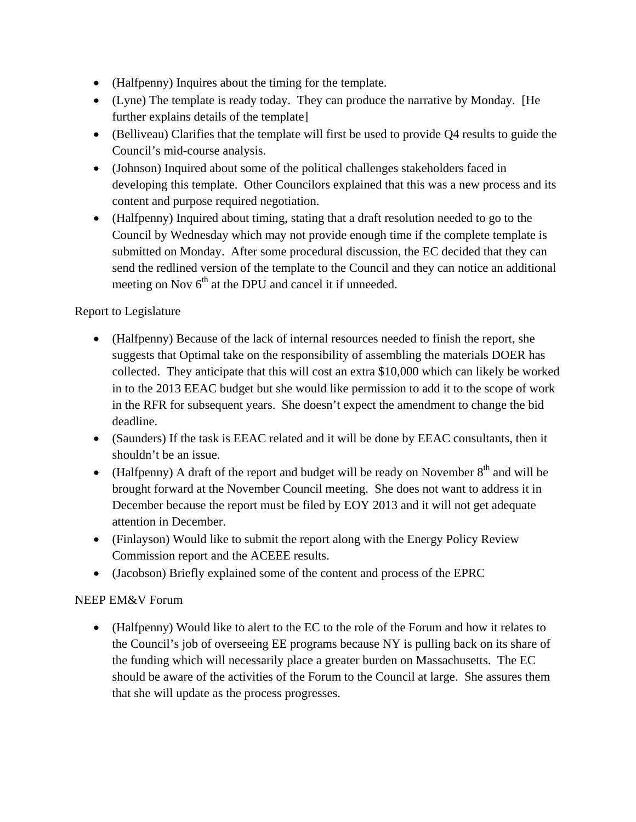- (Halfpenny) Inquires about the timing for the template.
- (Lyne) The template is ready today. They can produce the narrative by Monday. [He further explains details of the template]
- (Belliveau) Clarifies that the template will first be used to provide Q4 results to guide the Council's mid-course analysis.
- (Johnson) Inquired about some of the political challenges stakeholders faced in developing this template. Other Councilors explained that this was a new process and its content and purpose required negotiation.
- (Halfpenny) Inquired about timing, stating that a draft resolution needed to go to the Council by Wednesday which may not provide enough time if the complete template is submitted on Monday. After some procedural discussion, the EC decided that they can send the redlined version of the template to the Council and they can notice an additional meeting on Nov  $6<sup>th</sup>$  at the DPU and cancel it if unneeded.

# Report to Legislature

- (Halfpenny) Because of the lack of internal resources needed to finish the report, she suggests that Optimal take on the responsibility of assembling the materials DOER has collected. They anticipate that this will cost an extra \$10,000 which can likely be worked in to the 2013 EEAC budget but she would like permission to add it to the scope of work in the RFR for subsequent years. She doesn't expect the amendment to change the bid deadline.
- (Saunders) If the task is EEAC related and it will be done by EEAC consultants, then it shouldn't be an issue.
- (Halfpenny) A draft of the report and budget will be ready on November  $8<sup>th</sup>$  and will be brought forward at the November Council meeting. She does not want to address it in December because the report must be filed by EOY 2013 and it will not get adequate attention in December.
- (Finlayson) Would like to submit the report along with the Energy Policy Review Commission report and the ACEEE results.
- (Jacobson) Briefly explained some of the content and process of the EPRC

# NEEP EM&V Forum

 (Halfpenny) Would like to alert to the EC to the role of the Forum and how it relates to the Council's job of overseeing EE programs because NY is pulling back on its share of the funding which will necessarily place a greater burden on Massachusetts. The EC should be aware of the activities of the Forum to the Council at large. She assures them that she will update as the process progresses.